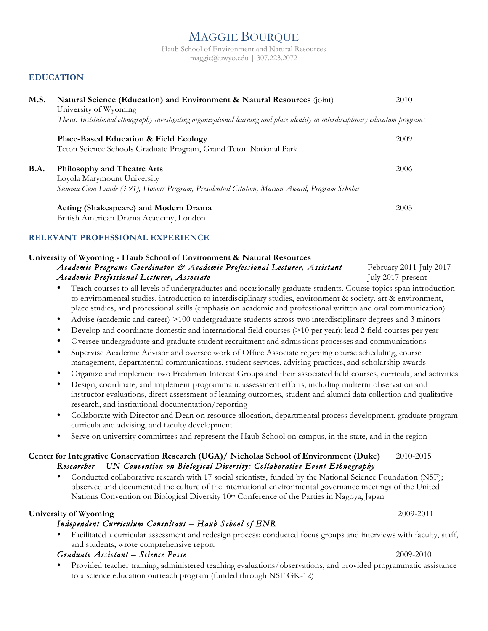# MAGGIE BOURQUE

Haub School of Environment and Natural Resources maggie@uwyo.edu | 307.223.2072

## **EDUCATION**

| M.S. | Natural Science (Education) and Environment & Natural Resources (joint)                                                            | 2010 |
|------|------------------------------------------------------------------------------------------------------------------------------------|------|
|      | University of Wyoming                                                                                                              |      |
|      | Thesis: Institutional ethnography investigating organizational learning and place identity in interdisciplinary education programs |      |
|      | Place-Based Education & Field Ecology                                                                                              | 2009 |
|      | Teton Science Schools Graduate Program, Grand Teton National Park                                                                  |      |
| B.A. | <b>Philosophy and Theatre Arts</b>                                                                                                 | 2006 |
|      | Loyola Marymount University                                                                                                        |      |
|      | Summa Cum Laude (3.91), Honors Program, Presidential Citation, Marian Award, Program Scholar                                       |      |
|      | Acting (Shakespeare) and Modern Drama                                                                                              | 2003 |
|      | British American Drama Academy, London                                                                                             |      |

#### **RELEVANT PROFESSIONAL EXPERIENCE**

#### **University of Wyoming - Haub School of Environment & Natural Resources** *Academic Programs Coordinator & Academic Professional Lecturer, Assistant* February 2011-July 2017 *Academic Professional Lecturer, Associate* **July 2017-present** July 2017-present

- Teach courses to all levels of undergraduates and occasionally graduate students. Course topics span introduction to environmental studies, introduction to interdisciplinary studies, environment & society, art & environment, place studies, and professional skills (emphasis on academic and professional written and oral communication)
- Advise (academic and career) >100 undergraduate students across two interdisciplinary degrees and 3 minors
- Develop and coordinate domestic and international field courses (>10 per year); lead 2 field courses per year
- Oversee undergraduate and graduate student recruitment and admissions processes and communications
- Supervise Academic Advisor and oversee work of Office Associate regarding course scheduling, course management, departmental communications, student services, advising practices, and scholarship awards
- Organize and implement two Freshman Interest Groups and their associated field courses, curricula, and activities
- Design, coordinate, and implement programmatic assessment efforts, including midterm observation and instructor evaluations, direct assessment of learning outcomes, student and alumni data collection and qualitative research, and institutional documentation/reporting
- Collaborate with Director and Dean on resource allocation, departmental process development, graduate program curricula and advising, and faculty development
- Serve on university committees and represent the Haub School on campus, in the state, and in the region

#### **Center for Integrative Conservation Research (UGA)/ Nicholas School of Environment (Duke)** 2010-2015 *Researcher – UN Convention on Biological Diversity: Collaborative Event Ethnography*

• Conducted collaborative research with 17 social scientists, funded by the National Science Foundation (NSF); observed and documented the culture of the international environmental governance meetings of the United Nations Convention on Biological Diversity 10<sup>th</sup> Conference of the Parties in Nagoya, Japan

#### **University of Wyoming** 2009-2011

## *Independent Curriculum Consultant – Haub School of ENR*

• Facilitated a curricular assessment and redesign process; conducted focus groups and interviews with faculty, staff, and students; wrote comprehensive report

# *Graduate Assistant – Science Posse* 2009-2010

• Provided teacher training, administered teaching evaluations/observations, and provided programmatic assistance to a science education outreach program (funded through NSF GK-12)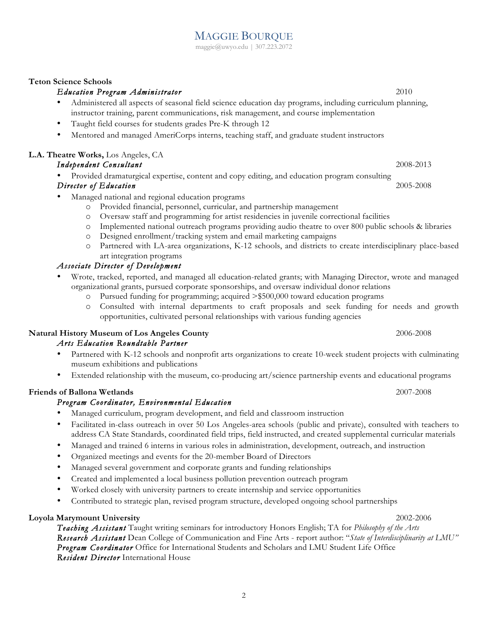MAGGIE BOURQUE maggie@uwyo.edu | 307.223.2072

## **Teton Science Schools**

# *Education Program Administrator* 2010

- Administered all aspects of seasonal field science education day programs, including curriculum planning, instructor training, parent communications, risk management, and course implementation
- Taught field courses for students grades Pre-K through 12
- Mentored and managed AmeriCorps interns, teaching staff, and graduate student instructors

# **L.A. Theatre Works,** Los Angeles, CA

# *Independent Consultant* 2008-2013

• Provided dramaturgical expertise, content and copy editing, and education program consulting

# *Director of Education* 2005-2008

- Managed national and regional education programs
	- o Provided financial, personnel, curricular, and partnership management
	- o Oversaw staff and programming for artist residencies in juvenile correctional facilities
	- o Implemented national outreach programs providing audio theatre to over 800 public schools & libraries
	- o Designed enrollment/tracking system and email marketing campaigns
	- o Partnered with LA-area organizations, K-12 schools, and districts to create interdisciplinary place-based art integration programs

# *Associate Director of Development*

- Wrote, tracked, reported, and managed all education-related grants; with Managing Director, wrote and managed organizational grants, pursued corporate sponsorships, and oversaw individual donor relations
	- o Pursued funding for programming; acquired >\$500,000 toward education programs
	- o Consulted with internal departments to craft proposals and seek funding for needs and growth opportunities, cultivated personal relationships with various funding agencies

# **Natural History Museum of Los Angeles County** 2006-2008

## *Arts Education Roundtable Partner*

- Partnered with K-12 schools and nonprofit arts organizations to create 10-week student projects with culminating museum exhibitions and publications
- Extended relationship with the museum, co-producing art/science partnership events and educational programs

## **Friends of Ballona Wetlands** 2007-2008

# *Program Coordinator, Environmental Education*

- Managed curriculum, program development, and field and classroom instruction
- Facilitated in-class outreach in over 50 Los Angeles-area schools (public and private), consulted with teachers to address CA State Standards, coordinated field trips, field instructed, and created supplemental curricular materials
- Managed and trained 6 interns in various roles in administration, development, outreach, and instruction
- Organized meetings and events for the 20-member Board of Directors
- Managed several government and corporate grants and funding relationships
- Created and implemented a local business pollution prevention outreach program
- Worked closely with university partners to create internship and service opportunities
- Contributed to strategic plan, revised program structure, developed ongoing school partnerships

## **Loyola Marymount University** 2002-2006

*Teaching Assistant* Taught writing seminars for introductory Honors English; TA for *Philosophy of the Arts Research Assistant* Dean College of Communication and Fine Arts - report author: "*State of Interdisciplinarity at LMU" Program Coordinator* Office for International Students and Scholars and LMU Student Life Office *Resident Director* International House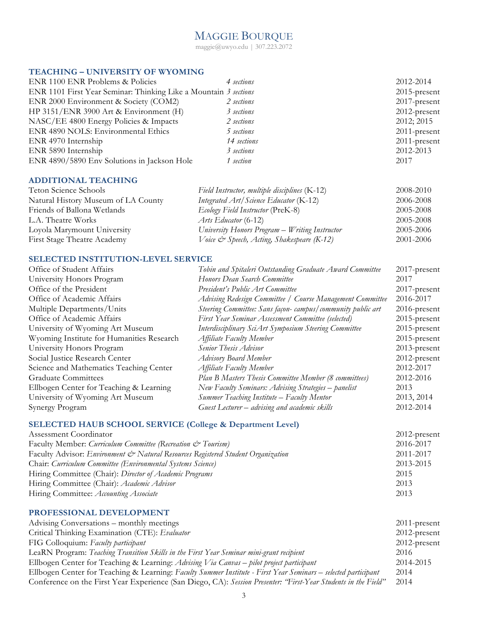# MAGGIE BOURQUE

maggie@uwyo.edu | 307.223.2072

#### **TEACHING – UNIVERSITY OF WYOMING**

| ENR 1100 ENR Problems & Policies                                 | 4 sections  | 2012-2014       |
|------------------------------------------------------------------|-------------|-----------------|
| ENR 1101 First Year Seminar: Thinking Like a Mountain 3 sections |             | $2015$ -present |
| ENR 2000 Environment & Society (COM2)                            | 2 sections  | 2017-present    |
| HP 3151/ENR 3900 Art & Environment (H)                           | 3 sections  | $2012$ -present |
| NASC/EE 4800 Energy Policies & Impacts                           | 2 sections  | 2012; 2015      |
| ENR 4890 NOLS: Environmental Ethics                              | 5 sections  | $2011$ -present |
| ENR 4970 Internship                                              | 14 sections | $2011$ -present |
| ENR 5890 Internship                                              | 3 sections  | 2012-2013       |
| ENR 4890/5890 Env Solutions in Jackson Hole                      | 1 section   | 2017            |
|                                                                  |             |                 |

#### **ADDITIONAL TEACHING**

| Teton Science Schools               | Field Instructor, multiple disciplines (K-12)  | 2008-2010 |
|-------------------------------------|------------------------------------------------|-----------|
| Natural History Museum of LA County | Integrated $Art/$ Science Educator (K-12)      | 2006-2008 |
| Friends of Ballona Wetlands         | Ecology Field Instructor (PreK-8)              | 2005-2008 |
| L.A. Theatre Works                  | Arts Educator (6-12)                           | 2005-2008 |
| Loyola Marymount University         | University Honors Program - Writing Instructor | 2005-2006 |
| First Stage Theatre Academy         | Voice & Speech, Acting, Shakespeare (K-12)     | 2001-2006 |

#### **SELECTED INSTITUTION-LEVEL SERVICE**

| Office of Student Affairs                 | Tobin and Spitaleri Outstanding Graduate Award Committee   | $2017$ -present |
|-------------------------------------------|------------------------------------------------------------|-----------------|
| University Honors Program                 | Honors Dean Search Committee                               | 2017            |
| Office of the President                   | President's Public Art Committee                           | 2017-present    |
| Office of Academic Affairs                | Advising Redesign Committee / Course Management Committee  | 2016-2017       |
| Multiple Departments/Units                | Steering Committee: Sans façon-campus/community public art | 2016-present    |
| Office of Academic Affairs                | First Year Seminar Assessment Committee (selected)         | $2015$ -present |
| University of Wyoming Art Museum          | Interdisciplinary SciArt Symposium Steering Committee      | $2015$ -present |
| Wyoming Institute for Humanities Research | Affiliate Faculty Member                                   | $2015$ -present |
| University Honors Program                 | Senior Thesis Advisor                                      | 2013-present    |
| Social Justice Research Center            | <b>Advisory Board Member</b>                               | 2012-present    |
| Science and Mathematics Teaching Center   | <b>Affiliate Faculty Member</b>                            | 2012-2017       |
| <b>Graduate Committees</b>                | Plan B Masters Thesis Committee Member (8 committees)      | 2012-2016       |
| Ellbogen Center for Teaching & Learning   | New Faculty Seminars: Advising Strategies - panelist       | 2013            |
| University of Wyoming Art Museum          | <b>Summer Teaching Institute – Faculty Mentor</b>          | 2013, 2014      |
| Synergy Program                           | Guest Lecturer - advising and academic skills              | 2012-2014       |

#### **SELECTED HAUB SCHOOL SERVICE (College & Department Level)**

| Assessment Coordinator                                                           | $2012$ -present |
|----------------------------------------------------------------------------------|-----------------|
| Faculty Member: Curriculum Committee (Recreation & Tourism)                      | 2016-2017       |
| Faculty Advisor: Environment & Natural Resources Registered Student Organization | 2011-2017       |
| Chair: Curriculum Committee (Environmental Systems Science)                      | 2013-2015       |
| Hiring Committee (Chair): Director of Academic Programs                          | 2015            |
| Hiring Committee (Chair): Academic Advisor                                       | 2013            |
| Hiring Committee: Accounting Associate                                           | 2013            |

#### **PROFESSIONAL DEVELOPMENT**  Advising Conversations – monthly meetings 2011-present Critical Thinking Examination (CTE): *Evaluator* 2012-present FIG Colloquium: *Faculty participant* 2012-present LeaRN Program: *Teaching Transition Skills in the First Year Seminar mini-grant recipient* 2016 Ellbogen Center for Teaching & Learning: *Advising Via Canvas – pilot project participant* 2014-2015 Ellbogen Center for Teaching & Learning: *Faculty Summer Institute - First Year Seminars – selected participant* 2014 Conference on the First Year Experience (San Diego, CA): *Session Presenter: "First-Year Students in the Field"* 2014